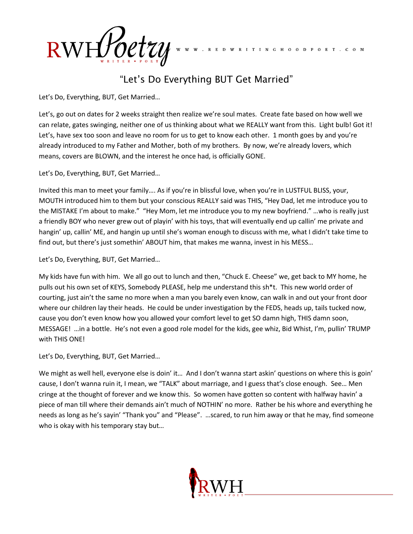$RWH_{\text{over}}^{\text{R}}$ 

## "Let's Do Everything BUT Get Married"

R E D W R I T I N G H O O D P O E T . C O M

Let's Do, Everything, BUT, Get Married…

Let's, go out on dates for 2 weeks straight then realize we're soul mates. Create fate based on how well we can relate, gates swinging, neither one of us thinking about what we REALLY want from this. Light bulb! Got it! Let's, have sex too soon and leave no room for us to get to know each other. 1 month goes by and you're already introduced to my Father and Mother, both of my brothers. By now, we're already lovers, which means, covers are BLOWN, and the interest he once had, is officially GONE.

Let's Do, Everything, BUT, Get Married…

Invited this man to meet your family…. As if you're in blissful love, when you're in LUSTFUL BLISS, your, MOUTH introduced him to them but your conscious REALLY said was THIS, "Hey Dad, let me introduce you to the MISTAKE I'm about to make." "Hey Mom, let me introduce you to my new boyfriend." …who is really just a friendly BOY who never grew out of playin' with his toys, that will eventually end up callin' me private and hangin' up, callin' ME, and hangin up until she's woman enough to discuss with me, what I didn't take time to find out, but there's just somethin' ABOUT him, that makes me wanna, invest in his MESS…

Let's Do, Everything, BUT, Get Married…

My kids have fun with him. We all go out to lunch and then, "Chuck E. Cheese" we, get back to MY home, he pulls out his own set of KEYS, Somebody PLEASE, help me understand this sh\*t. This new world order of courting, just ain't the same no more when a man you barely even know, can walk in and out your front door where our children lay their heads. He could be under investigation by the FEDS, heads up, tails tucked now, cause you don't even know how you allowed your comfort level to get SO damn high, THIS damn soon, MESSAGE! …in a bottle. He's not even a good role model for the kids, gee whiz, Bid Whist, I'm, pullin' TRUMP with THIS ONE!

Let's Do, Everything, BUT, Get Married…

We might as well hell, everyone else is doin' it... And I don't wanna start askin' questions on where this is goin' cause, I don't wanna ruin it, I mean, we "TALK" about marriage, and I guess that's close enough. See… Men cringe at the thought of forever and we know this. So women have gotten so content with halfway havin' a piece of man till where their demands ain't much of NOTHIN' no more. Rather be his whore and everything he needs as long as he's sayin' "Thank you" and "Please". …scared, to run him away or that he may, find someone who is okay with his temporary stay but…